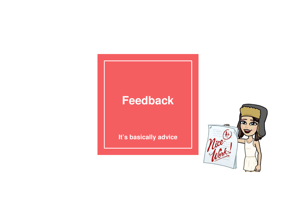#### **Feedback**

**It's basically advice**

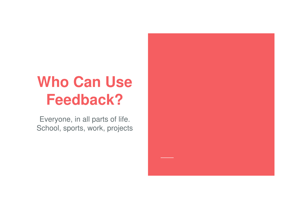### **Who Can Use Feedback?**

Everyone, in all parts of life.School, sports, work, projects

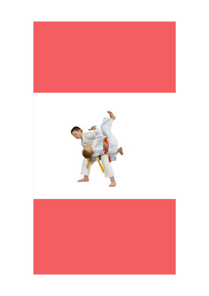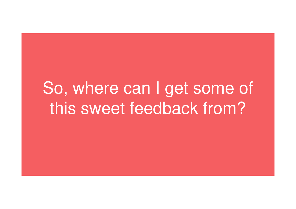# So, where can I get some of this sweet feedback from?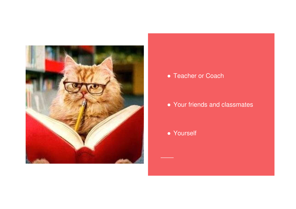

- Teacher or Coach
- Your friends and classmates
- Yourself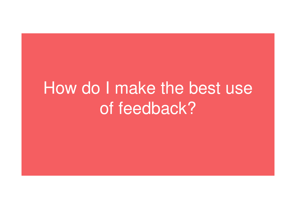# How do I make the best use of feedback?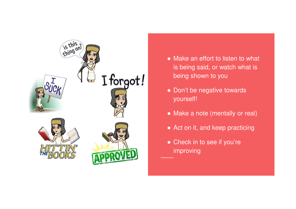

- Make an effort to listen to what is being said, or watch what is being shown to you
- Don't be negative towards yourself!
- Make a note (mentally or real)
- Act on it, and keep practicing
- Check in to see if you're improving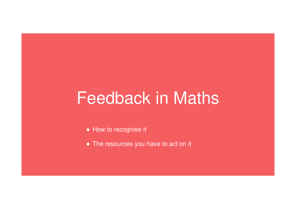### Feedback in Maths

- How to recognise it
- The resources you have to act on it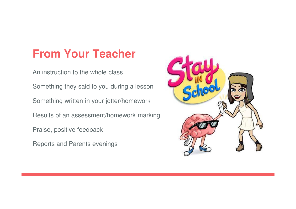#### **From Your Teacher**

An instruction to the whole class

Something they said to you during a lesson

Something written in your jotter/homework

Results of an assessment/homework marking

Praise, positive feedback

Reports and Parents evenings

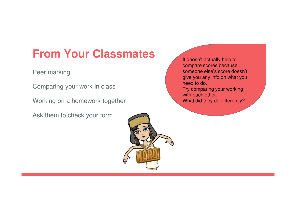#### **From Your Classmates**

Peer marking

- Comparing your work in class
- Working on a homework together
- Ask them to check your form

It doesn't actually help to compare scores because someone else's score doesn't give you any info on what you need to do. Try comparing your working with each other. What did they do differently?

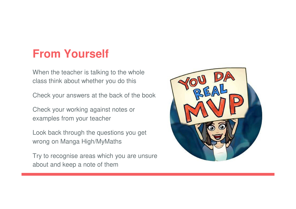#### **From Yourself**

When the teacher is talking to the whole class think about whether you do this

Check your answers at the back of the book

Check your working against notes or examples from your teacher

Look back through the questions you get wrong on Manga High/MyMaths

Try to recognise areas which you are unsure about and keep a note of them

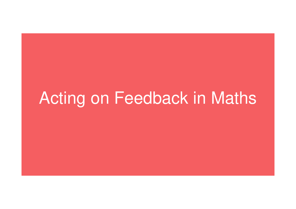## Acting on Feedback in Maths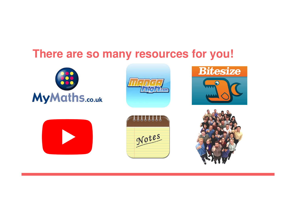#### **There are so many resources for you!**